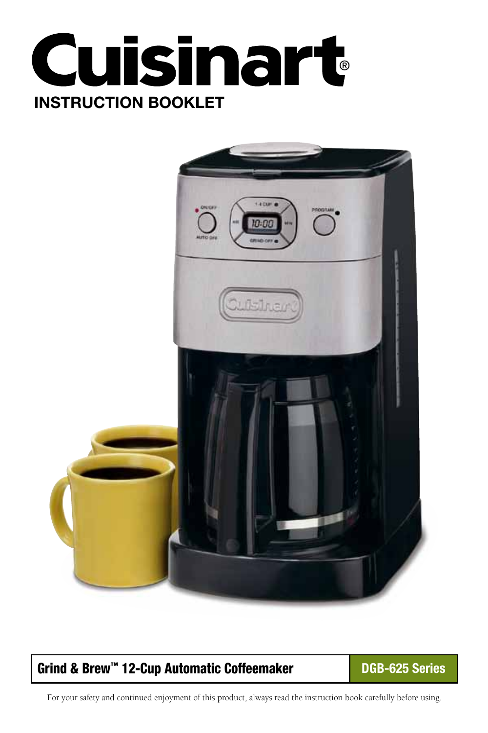



# Grind & Brew™ 12-Cup Automatic Coffeemaker **DGB-625 Series**

For your safety and continued enjoyment of this product, always read the instruction book carefully before using.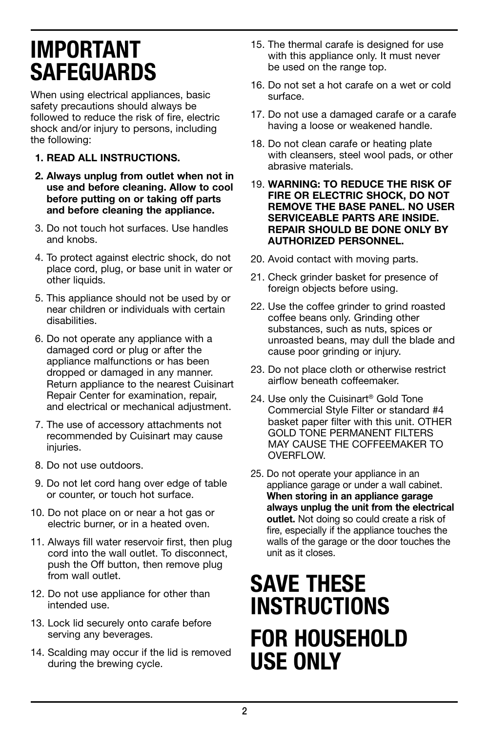# Important Safeguards

When using electrical appliances, basic safety precautions should always be followed to reduce the risk of fire, electric shock and/or injury to persons, including the following:

- 1. READ ALL INSTRUCTIONS.
- 2. Always unplug from outlet when not in use and before cleaning. Allow to cool before putting on or taking off parts and before cleaning the appliance.
- 3. Do not touch hot surfaces. Use handles and knobs.
- 4. To protect against electric shock, do not place cord, plug, or base unit in water or other liquids.
- 5. This appliance should not be used by or near children or individuals with certain disabilities.
- 6. Do not operate any appliance with a damaged cord or plug or after the appliance malfunctions or has been dropped or damaged in any manner. Return appliance to the nearest Cuisinart Repair Center for examination, repair, and electrical or mechanical adjustment.
- 7. The use of accessory attachments not recommended by Cuisinart may cause injuries.
- 8. Do not use outdoors.
- 9. Do not let cord hang over edge of table or counter, or touch hot surface.
- 10. Do not place on or near a hot gas or electric burner, or in a heated oven.
- 11. Always fill water reservoir first, then plug cord into the wall outlet. To disconnect, push the Off button, then remove plug from wall outlet.
- 12. Do not use appliance for other than intended use.
- 13. Lock lid securely onto carafe before serving any beverages.
- 14. Scalding may occur if the lid is removed during the brewing cycle.
- 15. The thermal carafe is designed for use with this appliance only. It must never be used on the range top.
- 16. Do not set a hot carafe on a wet or cold surface.
- 17. Do not use a damaged carafe or a carafe having a loose or weakened handle.
- 18. Do not clean carafe or heating plate with cleansers, steel wool pads, or other abrasive materials.
- 19. WARNING: TO REDUCE THE RISK OF FIRE OR ELECTRIC SHOCK, DO NOT REMOVE THE BASE PANEL. NO USER SERVICEABLE PARTS ARE INSIDE. REPAIR SHOULD BE DONE ONLY BY AUTHORIZED PERSONNEL.
- 20. Avoid contact with moving parts.
- 21. Check grinder basket for presence of foreign objects before using.
- 22. Use the coffee grinder to grind roasted coffee beans only. Grinding other substances, such as nuts, spices or unroasted beans, may dull the blade and cause poor grinding or injury.
- 23. Do not place cloth or otherwise restrict airflow beneath coffeemaker.
- 24. Use only the Cuisinart® Gold Tone Commercial Style Filter or standard #4 basket paper filter with this unit. OTHER GOLD TONE PERMANENT FILTERS MAY CAUSE THE COFFEEMAKER TO OVERFLOW.
- 25. Do not operate your appliance in an appliance garage or under a wall cabinet. When storing in an appliance garage always unplug the unit from the electrical outlet. Not doing so could create a risk of fire, especially if the appliance touches the walls of the garage or the door touches the unit as it closes.

# SAVE THESE **INSTRUCTIONS** FOR HOUSEHOLD USE ONLY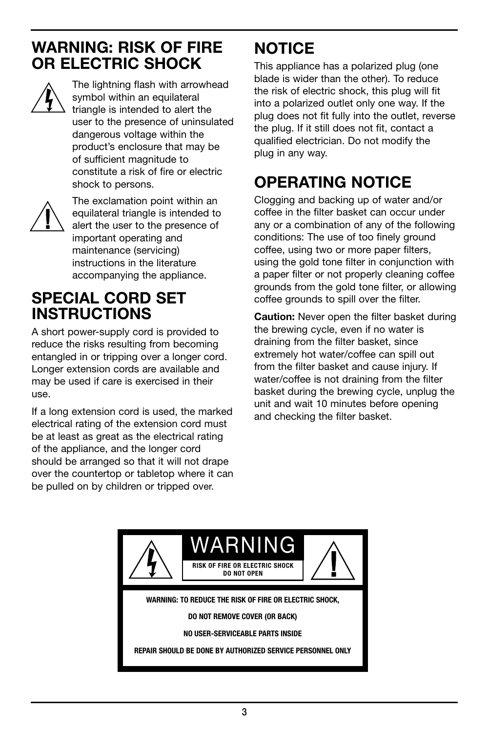# WARNING: RISK Of FIRE OR ELECTRIC SHOCK



The lightning flash with arrowhead symbol within an equilateral triangle is intended to alert the user to the presence of uninsulated dangerous voltage within the product's enclosure that may be of sufficient magnitude to constitute a risk of fire or electric shock to persons.



The exclamation point within an equilateral triangle is intended to alert the user to the presence of important operating and maintenance (servicing) instructions in the literature accompanying the appliance.

# SPECIAL CORD SET INSTRUCTIONS

A short power-supply cord is provided to reduce the risks resulting from becoming entangled in or tripping over a longer cord. Longer extension cords are available and may be used if care is exercised in their use.

If a long extension cord is used, the marked electrical rating of the extension cord must be at least as great as the electrical rating of the appliance, and the longer cord should be arranged so that it will not drape over the countertop or tabletop where it can be pulled on by children or tripped over.

# **NOTICE**

This appliance has a polarized plug (one blade is wider than the other). To reduce the risk of electric shock, this plug will fit into a polarized outlet only one way. If the plug does not fit fully into the outlet, reverse the plug. If it still does not fit, contact a qualified electrician. Do not modify the plug in any way.

# OPERATING NOTICE

Clogging and backing up of water and/or coffee in the filter basket can occur under any or a combination of any of the following conditions: The use of too finely ground coffee, using two or more paper filters, using the gold tone filter in conjunction with a paper filter or not properly cleaning coffee grounds from the gold tone filter, or allowing coffee grounds to spill over the filter.

**Caution:** Never open the filter basket during the brewing cycle, even if no water is draining from the filter basket, since extremely hot water/coffee can spill out from the filter basket and cause injury. If water/coffee is not draining from the filter basket during the brewing cycle, unplug the unit and wait 10 minutes before opening and checking the filter basket.

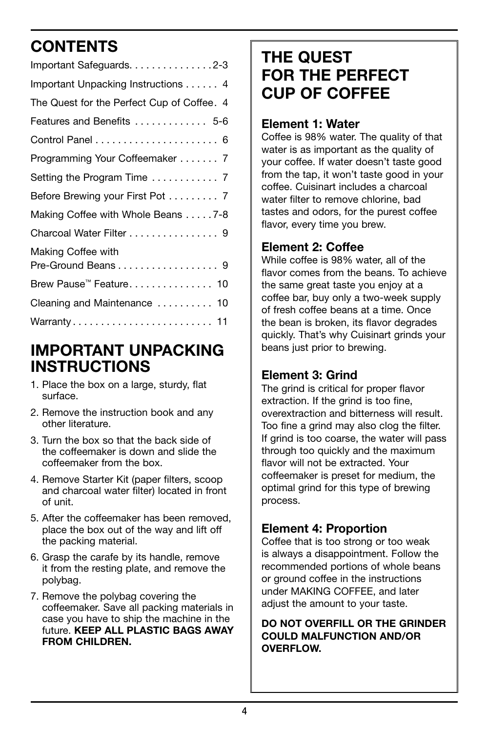# **CONTENTS**

| Important Safeguards. 2-3                  |
|--------------------------------------------|
| Important Unpacking Instructions 4         |
| The Quest for the Perfect Cup of Coffee. 4 |
| Features and Benefits  5-6                 |
|                                            |
| Programming Your Coffeemaker 7             |
|                                            |
| Before Brewing your First Pot 7            |
| Making Coffee with Whole Beans 7-8         |
| Charcoal Water Filter 9                    |
| Making Coffee with<br>Pre-Ground Beans 9   |
| Brew Pause <sup>™</sup> Feature 10         |
| Cleaning and Maintenance  10               |
| Warranty 11                                |
|                                            |

# IMPORTANT UNPACKING INSTRUCTIONS

- 1. Place the box on a large, sturdy, flat surface.
- 2. Remove the instruction book and any other literature.
- 3. Turn the box so that the back side of the coffeemaker is down and slide the coffeemaker from the box.
- 4. Remove Starter Kit (paper filters, scoop and charcoal water filter) located in front of unit.
- 5. After the coffeemaker has been removed, place the box out of the way and lift off the packing material.
- 6. Grasp the carafe by its handle, remove it from the resting plate, and remove the polybag.
- 7. Remove the polybag covering the coffeemaker. Save all packing materials in case you have to ship the machine in the future. KEEP ALL PLASTIC BAGS AWAY FROM CHILDREN.

# THE QUEST FOR THE PErFECT CUP OF COFFEE

#### Element 1: Water

Coffee is 98% water. The quality of that water is as important as the quality of your coffee. If water doesn't taste good from the tap, it won't taste good in your coffee. Cuisinart includes a charcoal water filter to remove chlorine, bad tastes and odors, for the purest coffee flavor, every time you brew.

#### Element 2: Coffee

While coffee is 98% water, all of the flavor comes from the beans. To achieve the same great taste you enjoy at a coffee bar, buy only a two-week supply of fresh coffee beans at a time. Once the bean is broken, its flavor degrades quickly. That's why Cuisinart grinds your beans just prior to brewing.

#### Element 3: Grind

The grind is critical for proper flavor extraction. If the grind is too fine, overextraction and bitterness will result. Too fine a grind may also clog the filter. If grind is too coarse, the water will pass through too quickly and the maximum flavor will not be extracted. Your coffeemaker is preset for medium, the optimal grind for this type of brewing process.

### Element 4: Proportion

Coffee that is too strong or too weak is always a disappointment. Follow the recommended portions of whole beans or ground coffee in the instructions under MAKING COFFEE, and later adjust the amount to your taste.

#### DO NOT OVERFILL OR THE GRINDER COULD MALFUNCTION AND/OR OVERFLOW.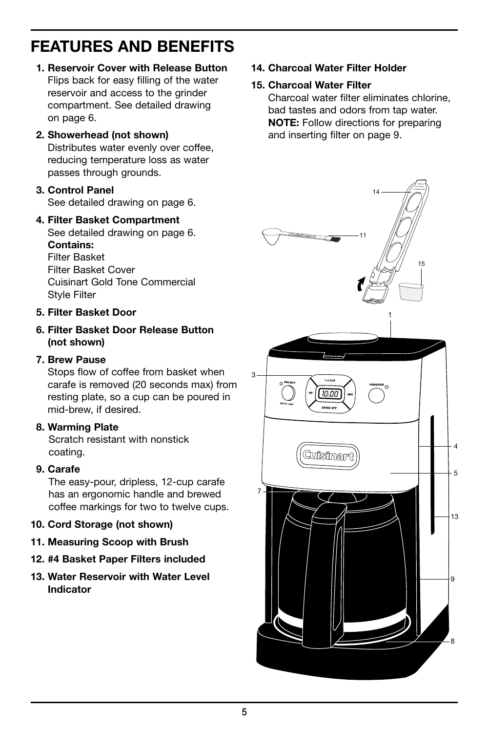# FEATURES AND BENEFITS

- 1. Reservoir Cover with Release Button Flips back for easy filling of the water reservoir and access to the grinder compartment. See detailed drawing on page 6.
- 2. Showerhead (not shown) Distributes water evenly over coffee, reducing temperature loss as water passes through grounds.
- 3. Control Panel See detailed drawing on page 6.

# 4. Filter Basket Compartment

See detailed drawing on page 6. Contains: Filter Basket

Filter Basket Cover Cuisinart Gold Tone Commercial Style Filter

#### 5. Filter Basket Door

6. Filter Basket Door Release Button (not shown)

#### 7. Brew Pause

Stops flow of coffee from basket when carafe is removed (20 seconds max) from resting plate, so a cup can be poured in mid-brew, if desired.

#### 8. Warming Plate

 Scratch resistant with nonstick coating.

#### 9. Carafe

 The easy-pour, dripless, 12-cup carafe has an ergonomic handle and brewed coffee markings for two to twelve cups.

- 10. Cord Storage (not shown)
- 11. Measuring Scoop with Brush
- 12. #4 Basket Paper Filters included
- 13. Water Reservoir with Water Level Indicator

14. Charcoal Water Filter Holder

#### 15. Charcoal Water Filter

Charcoal water filter eliminates chlorine, bad tastes and odors from tap water. NOTE: Follow directions for preparing and inserting filter on page 9.

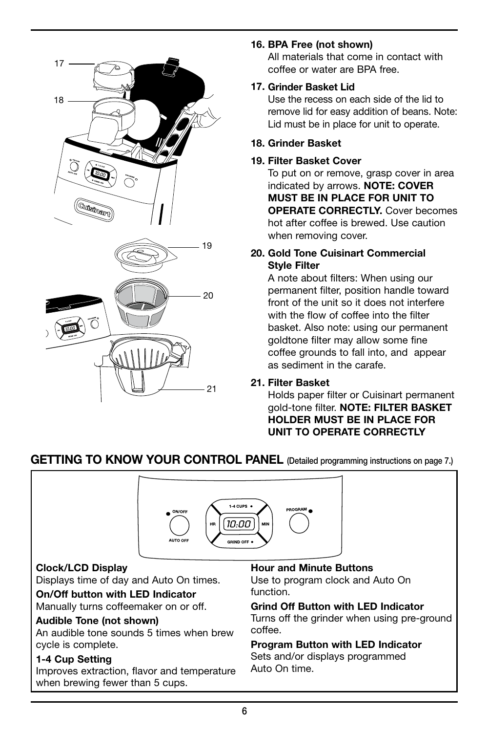

#### 16. BPA Free (not shown)

All materials that come in contact with coffee or water are BPA free.

#### 17. Grinder Basket Lid

Use the recess on each side of the lid to remove lid for easy addition of beans. Note: Lid must be in place for unit to operate.

#### 18. Grinder Basket

#### 19. Filter Basket Cover

To put on or remove, grasp cover in area indicated by arrows. NOTE: COVER MUST BE IN PLACE FOR UNIT TO OPERATE CORRECTLY. Cover becomes hot after coffee is brewed. Use caution when removing cover.

#### 20. Gold Tone Cuisinart Commercial Style Filter

A note about filters: When using our permanent filter, position handle toward front of the unit so it does not interfere with the flow of coffee into the filter basket. Also note: using our permanent goldtone filter may allow some fine coffee grounds to fall into, and appear as sediment in the carafe.

#### 21. Filter Basket

Holds paper filter or Cuisinart permanent gold-tone filter. NOTE: FILTER BASKET HOLDER MUST BE IN PLACE FOR UNIT TO OPERATE CORRECTLY

#### GETTING TO KNOW YOUR CONTROL PANEL (Detailed programming instructions on page 7.)



#### Clock/LCD Display

Displays time of day and Auto On times.

On/Off button with LED Indicator Manually turns coffeemaker on or off.

#### Audible Tone (not shown)

An audible tone sounds 5 times when brew cycle is complete.

#### 1-4 Cup Setting

Improves extraction, flavor and temperature when brewing fewer than 5 cups.

#### Hour and Minute Buttons

Use to program clock and Auto On function.

#### Grind Off Button with LED Indicator

Turns off the grinder when using pre-ground coffee.

#### Program Button with LED Indicator

Sets and/or displays programmed Auto On time.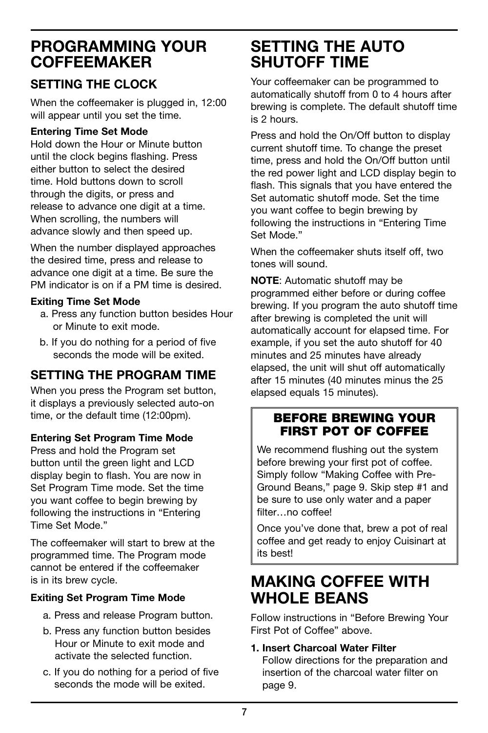# PROGRAMMING YOUR **COFFEEMAKER**

### Setting the Clock

When the coffeemaker is plugged in, 12:00 will appear until you set the time.

#### Entering Time Set Mode

Hold down the Hour or Minute button until the clock begins flashing. Press either button to select the desired time. Hold buttons down to scroll through the digits, or press and release to advance one digit at a time. When scrolling, the numbers will advance slowly and then speed up.

When the number displayed approaches the desired time, press and release to advance one digit at a time. Be sure the PM indicator is on if a PM time is desired.

#### Exiting Time Set Mode

- a. Press any function button besides Hour or Minute to exit mode.
- b. If you do nothing for a period of five seconds the mode will be exited.

## SETTING THE PROGRAM TIME

When you press the Program set button, it displays a previously selected auto-on time, or the default time (12:00pm).

#### Entering Set Program Time Mode

Press and hold the Program set button until the green light and LCD display begin to flash. You are now in Set Program Time mode. Set the time you want coffee to begin brewing by following the instructions in "Entering Time Set Mode."

The coffeemaker will start to brew at the programmed time. The Program mode cannot be entered if the coffeemaker is in its brew cycle.

#### Exiting Set Program Time Mode

- a. Press and release Program button.
- b. Press any function button besides Hour or Minute to exit mode and activate the selected function.
- c. If you do nothing for a period of five seconds the mode will be exited.

# SETTING THE AUTO SHUTOFF TIME

Your coffeemaker can be programmed to automatically shutoff from 0 to 4 hours after brewing is complete. The default shutoff time is 2 hours.

Press and hold the On/Off button to display current shutoff time. To change the preset time, press and hold the On/Off button until the red power light and LCD display begin to flash. This signals that you have entered the Set automatic shutoff mode. Set the time you want coffee to begin brewing by following the instructions in "Entering Time Set Mode."

When the coffeemaker shuts itself off, two tones will sound.

NOTE: Automatic shutoff may be programmed either before or during coffee brewing. If you program the auto shutoff time after brewing is completed the unit will automatically account for elapsed time. For example, if you set the auto shutoff for 40 minutes and 25 minutes have already elapsed, the unit will shut off automatically after 15 minutes (40 minutes minus the 25 elapsed equals 15 minutes).

#### BEFORE BREWING YOUR FIRST POT OF COFFEE

We recommend flushing out the system before brewing your first pot of coffee. Simply follow "Making Coffee with Pre-Ground Beans," page 9. Skip step #1 and be sure to use only water and a paper filter…no coffee!

Once you've done that, brew a pot of real coffee and get ready to enjoy Cuisinart at its best!

# MAKING COFFEE WITH WHOLE BEANS

Follow instructions in "Before Brewing Your First Pot of Coffee" above.

1. Insert Charcoal Water Filter

Follow directions for the preparation and insertion of the charcoal water filter on page 9.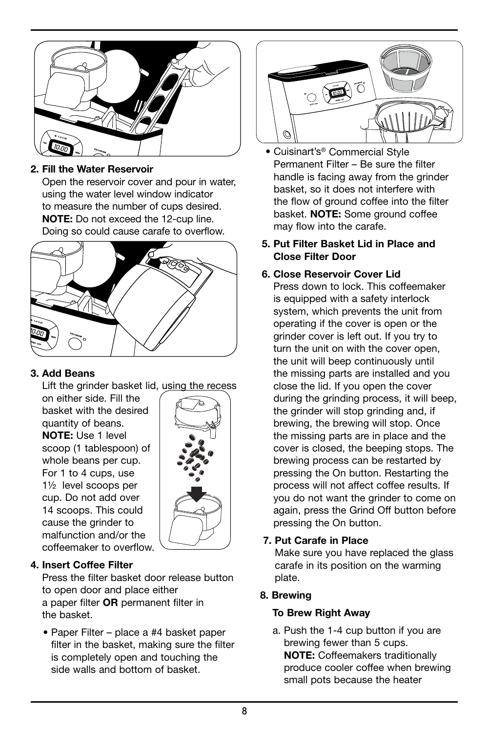

#### 2. Fill the Water Reservoir

Open the reservoir cover and pour in water, using the water level window indicator to measure the number of cups desired. NOTE: Do not exceed the 12-cup line. Doing so could cause carafe to overflow.



#### 3. Add Beans

Lift the grinder basket lid, using the recess

on either side. Fill the basket with the desired quantity of beans. NOTE: Use 1 level scoop (1 tablespoon) of whole beans per cup. For 1 to 4 cups, use 1½ level scoops per cup. Do not add over 14 scoops. This could cause the grinder to malfunction and/or the coffeemaker to overflow.



#### 4. Insert Coffee Filter

Press the filter basket door release button to open door and place either a paper filter OR permanent filter in the basket.

 • Paper Filter – place a #4 basket paper filter in the basket, making sure the filter is completely open and touching the side walls and bottom of basket.



- Cuisinart's® Commercial Style Permanent Filter – Be sure the filter handle is facing away from the grinder basket, so it does not interfere with the flow of ground coffee into the filter basket. **NOTE:** Some ground coffee may flow into the carafe.
- 5. Put Filter Basket Lid in Place and Close Filter Door

#### 6. Close Reservoir Cover Lid

Press down to lock. This coffeemaker is equipped with a safety interlock system, which prevents the unit from operating if the cover is open or the grinder cover is left out. If you try to turn the unit on with the cover open, the unit will beep continuously until the missing parts are installed and you close the lid. If you open the cover during the grinding process, it will beep, the grinder will stop grinding and, if brewing, the brewing will stop. Once the missing parts are in place and the cover is closed, the beeping stops. The brewing process can be restarted by pressing the On button. Restarting the process will not affect coffee results. If you do not want the grinder to come on again, press the Grind Off button before pressing the On button.

#### 7. Put Carafe in Place

Make sure you have replaced the glass carafe in its position on the warming plate.

#### 8. Brewing

#### To Brew Right Away

 a. Push the 1-4 cup button if you are brewing fewer than 5 cups. NOTE: Coffeemakers traditionally produce cooler coffee when brewing small pots because the heater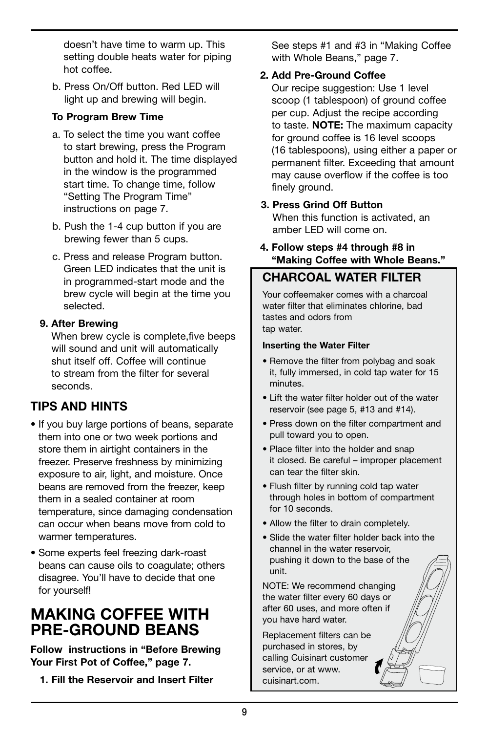doesn't have time to warm up. This setting double heats water for piping hot coffee.

 b. Press On/Off button. Red LED will light up and brewing will begin.

#### To Program Brew Time

- a. To select the time you want coffee to start brewing, press the Program button and hold it. The time displayed in the window is the programmed start time. To change time, follow "Setting The Program Time" instructions on page 7.
- b. Push the 1-4 cup button if you are brewing fewer than 5 cups.
- c. Press and release Program button. Green LED indicates that the unit is in programmed-start mode and the brew cycle will begin at the time you selected.

#### 9. After Brewing

When brew cycle is complete,five beeps will sound and unit will automatically shut itself off. Coffee will continue to stream from the filter for several seconds.

### Tips and Hints

- If you buy large portions of beans, separate them into one or two week portions and store them in airtight containers in the freezer. Preserve freshness by minimizing exposure to air, light, and moisture. Once beans are removed from the freezer, keep them in a sealed container at room temperature, since damaging condensation can occur when beans move from cold to warmer temperatures.
- Some experts feel freezing dark-roast beans can cause oils to coagulate; others disagree. You'll have to decide that one for yourself!

# MAKING COFFEE WITH Pre-Ground BEANS

Follow instructions in "Before Brewing Your First Pot of Coffee," page 7.

1. Fill the Reservoir and Insert Filter

See steps #1 and #3 in "Making Coffee with Whole Beans," page 7.

#### 2. Add Pre-Ground Coffee

Our recipe suggestion: Use 1 level scoop (1 tablespoon) of ground coffee per cup. Adjust the recipe according to taste. **NOTE:** The maximum capacity for ground coffee is 16 level scoops (16 tablespoons), using either a paper or permanent filter. Exceeding that amount may cause overflow if the coffee is too finely ground.

#### 3. Press Grind Off Button

When this function is activated, an amber LED will come on.

 4. Follow steps #4 through #8 in "Making Coffee with Whole Beans."

#### CHARCOAL WATER FILTER

Your coffeemaker comes with a charcoal water filter that eliminates chlorine, bad tastes and odors from tap water.

#### Inserting the Water Filter

- Remove the filter from polybag and soak it, fully immersed, in cold tap water for 15 minutes.
- Lift the water filter holder out of the water reservoir (see page 5, #13 and #14).
- Press down on the filter compartment and pull toward you to open.
- Place filter into the holder and snap it closed. Be careful – improper placement can tear the filter skin.
- Flush filter by running cold tap water through holes in bottom of compartment for 10 seconds.
- Allow the filter to drain completely.
- Slide the water filter holder back into the channel in the water reservoir, pushing it down to the base of the unit.

NOTE: We recommend changing the water filter every 60 days or after 60 uses, and more often if you have hard water.

Replacement filters can be purchased in stores, by calling Cuisinart customer service, or at www. cuisinart.com.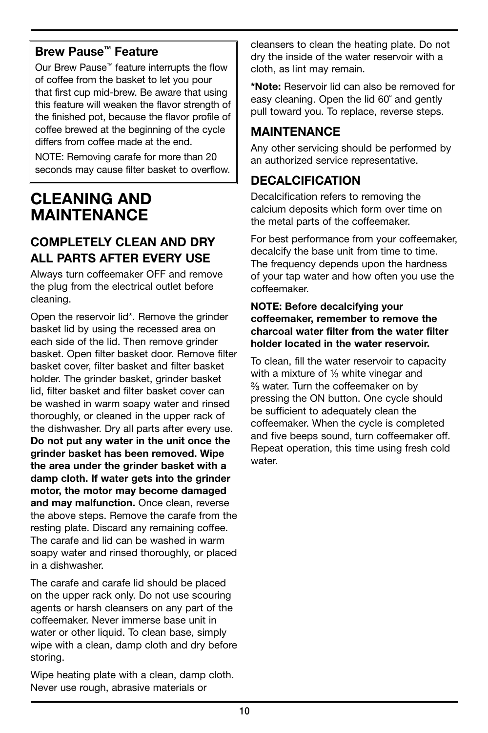#### Brew Pause™ Feature

Our Brew Pause™ feature interrupts the flow of coffee from the basket to let you pour that first cup mid-brew. Be aware that using this feature will weaken the flavor strength of the finished pot, because the flavor profile of coffee brewed at the beginning of the cycle differs from coffee made at the end.

NOTE: Removing carafe for more than 20 seconds may cause filter basket to overflow.

# CI FANING AND MAINTENANCE

### COMPLETELY CLEAN AND DRY ALL PARTS AFTER EVERY USE

Always turn coffeemaker OFF and remove the plug from the electrical outlet before cleaning.

Open the reservoir lid\*. Remove the grinder basket lid by using the recessed area on each side of the lid. Then remove grinder basket. Open filter basket door. Remove filter basket cover, filter basket and filter basket holder. The grinder basket, grinder basket lid, filter basket and filter basket cover can be washed in warm soapy water and rinsed thoroughly, or cleaned in the upper rack of the dishwasher. Dry all parts after every use. Do not put any water in the unit once the grinder basket has been removed. Wipe the area under the grinder basket with a damp cloth. If water gets into the grinder motor, the motor may become damaged and may malfunction. Once clean, reverse the above steps. Remove the carafe from the resting plate. Discard any remaining coffee. The carafe and lid can be washed in warm soapy water and rinsed thoroughly, or placed in a dishwasher.

The carafe and carafe lid should be placed on the upper rack only. Do not use scouring agents or harsh cleansers on any part of the coffeemaker. Never immerse base unit in water or other liquid. To clean base, simply wipe with a clean, damp cloth and dry before storing.

Wipe heating plate with a clean, damp cloth. Never use rough, abrasive materials or

cleansers to clean the heating plate. Do not dry the inside of the water reservoir with a cloth, as lint may remain.

\*Note: Reservoir lid can also be removed for easy cleaning. Open the lid 60˚ and gently pull toward you. To replace, reverse steps.

#### **MAINTENANCE**

Any other servicing should be performed by an authorized service representative.

### DECALCIFICATION

Decalcification refers to removing the calcium deposits which form over time on the metal parts of the coffeemaker.

For best performance from your coffeemaker, decalcify the base unit from time to time. The frequency depends upon the hardness of your tap water and how often you use the coffeemaker.

#### NOTE: Before decalcifying your coffeemaker, remember to remove the charcoal water filter from the water filter holder located in the water reservoir.

To clean, fill the water reservoir to capacity with a mixture of  $\frac{1}{3}$  white vinegar and ²⁄³ water. Turn the coffeemaker on by pressing the ON button. One cycle should be sufficient to adequately clean the coffeemaker. When the cycle is completed and five beeps sound, turn coffeemaker off. Repeat operation, this time using fresh cold water.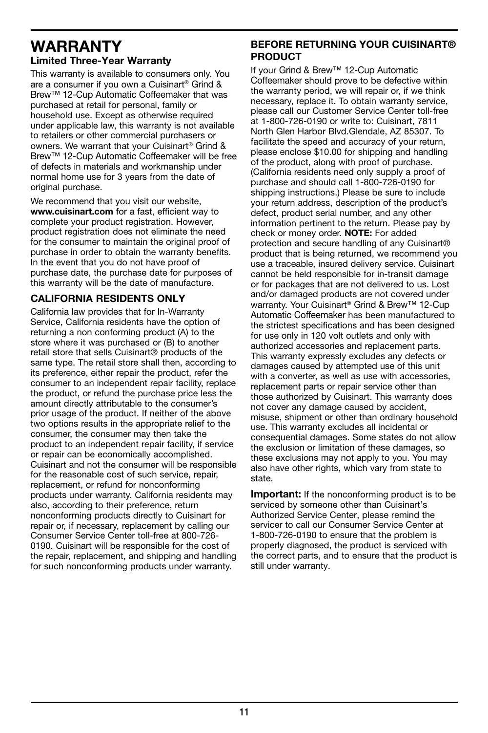### WARRANTY Limited Three-Year Warranty

This warranty is available to consumers only. You are a consumer if you own a Cuisinart® Grind & Brew™ 12-Cup Automatic Coffeemaker that was purchased at retail for personal, family or household use. Except as otherwise required under applicable law, this warranty is not available to retailers or other commercial purchasers or owners. We warrant that your Cuisinart® Grind & Brew™ 12-Cup Automatic Coffeemaker will be free of defects in materials and workmanship under normal home use for 3 years from the date of original purchase.

We recommend that you visit our website, www.cuisinart.com for a fast, efficient way to complete your product registration. However, product registration does not eliminate the need for the consumer to maintain the original proof of purchase in order to obtain the warranty benefits. In the event that you do not have proof of purchase date, the purchase date for purposes of this warranty will be the date of manufacture.

#### CALIFORNIA RESIDENTS ONLY

California law provides that for In-Warranty Service, California residents have the option of returning a non conforming product (A) to the store where it was purchased or (B) to another retail store that sells Cuisinart® products of the same type. The retail store shall then, according to its preference, either repair the product, refer the consumer to an independent repair facility, replace the product, or refund the purchase price less the amount directly attributable to the consumer's prior usage of the product. If neither of the above two options results in the appropriate relief to the consumer, the consumer may then take the product to an independent repair facility, if service or repair can be economically accomplished. Cuisinart and not the consumer will be responsible for the reasonable cost of such service, repair, replacement, or refund for nonconforming products under warranty. California residents may also, according to their preference, return nonconforming products directly to Cuisinart for repair or, if necessary, replacement by calling our Consumer Service Center toll-free at 800-726- 0190. Cuisinart will be responsible for the cost of the repair, replacement, and shipping and handling for such nonconforming products under warranty.

#### BEFORE RETURNING YOUR CUISINART® PRODUCT

If your Grind & Brew™ 12-Cup Automatic Coffeemaker should prove to be defective within the warranty period, we will repair or, if we think necessary, replace it. To obtain warranty service, please call our Customer Service Center toll-free at 1-800-726-0190 or write to: Cuisinart, 7811 North Glen Harbor Blvd.Glendale, AZ 85307. To facilitate the speed and accuracy of your return, please enclose \$10.00 for shipping and handling of the product, along with proof of purchase. (California residents need only supply a proof of purchase and should call 1-800-726-0190 for shipping instructions.) Please be sure to include your return address, description of the product's defect, product serial number, and any other information pertinent to the return. Please pay by check or money order. NOTE: For added protection and secure handling of any Cuisinart® product that is being returned, we recommend you use a traceable, insured delivery service. Cuisinart cannot be held responsible for in-transit damage or for packages that are not delivered to us. Lost and/or damaged products are not covered under warranty. Your Cuisinart® Grind & Brew™ 12-Cup Automatic Coffeemaker has been manufactured to the strictest specifications and has been designed for use only in 120 volt outlets and only with authorized accessories and replacement parts. This warranty expressly excludes any defects or damages caused by attempted use of this unit with a converter, as well as use with accessories, replacement parts or repair service other than those authorized by Cuisinart. This warranty does not cover any damage caused by accident, misuse, shipment or other than ordinary household use. This warranty excludes all incidental or consequential damages. Some states do not allow the exclusion or limitation of these damages, so these exclusions may not apply to you. You may also have other rights, which vary from state to state.

**Important:** If the nonconforming product is to be serviced by someone other than Cuisinart's Authorized Service Center, please remind the servicer to call our Consumer Service Center at 1-800-726-0190 to ensure that the problem is properly diagnosed, the product is serviced with the correct parts, and to ensure that the product is still under warranty.